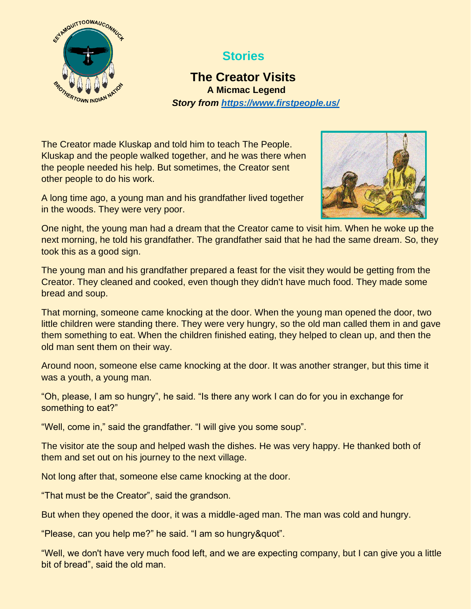

## **Stories**

## **The Creator Visits A Micmac Legend** *Story from<https://www.firstpeople.us/>*

The Creator made Kluskap and told him to teach The People. Kluskap and the people walked together, and he was there when the people needed his help. But sometimes, the Creator sent other people to do his work.

A long time ago, a young man and his grandfather lived together in the woods. They were very poor.



One night, the young man had a dream that the Creator came to visit him. When he woke up the next morning, he told his grandfather. The grandfather said that he had the same dream. So, they took this as a good sign.

The young man and his grandfather prepared a feast for the visit they would be getting from the Creator. They cleaned and cooked, even though they didn't have much food. They made some bread and soup.

That morning, someone came knocking at the door. When the young man opened the door, two little children were standing there. They were very hungry, so the old man called them in and gave them something to eat. When the children finished eating, they helped to clean up, and then the old man sent them on their way.

Around noon, someone else came knocking at the door. It was another stranger, but this time it was a youth, a young man.

"Oh, please, I am so hungry", he said. "Is there any work I can do for you in exchange for something to eat?"

"Well, come in," said the grandfather. "I will give you some soup".

The visitor ate the soup and helped wash the dishes. He was very happy. He thanked both of them and set out on his journey to the next village.

Not long after that, someone else came knocking at the door.

"That must be the Creator", said the grandson.

But when they opened the door, it was a middle-aged man. The man was cold and hungry.

"Please, can you help me?" he said. "I am so hungry&quot".

"Well, we don't have very much food left, and we are expecting company, but I can give you a little bit of bread", said the old man.